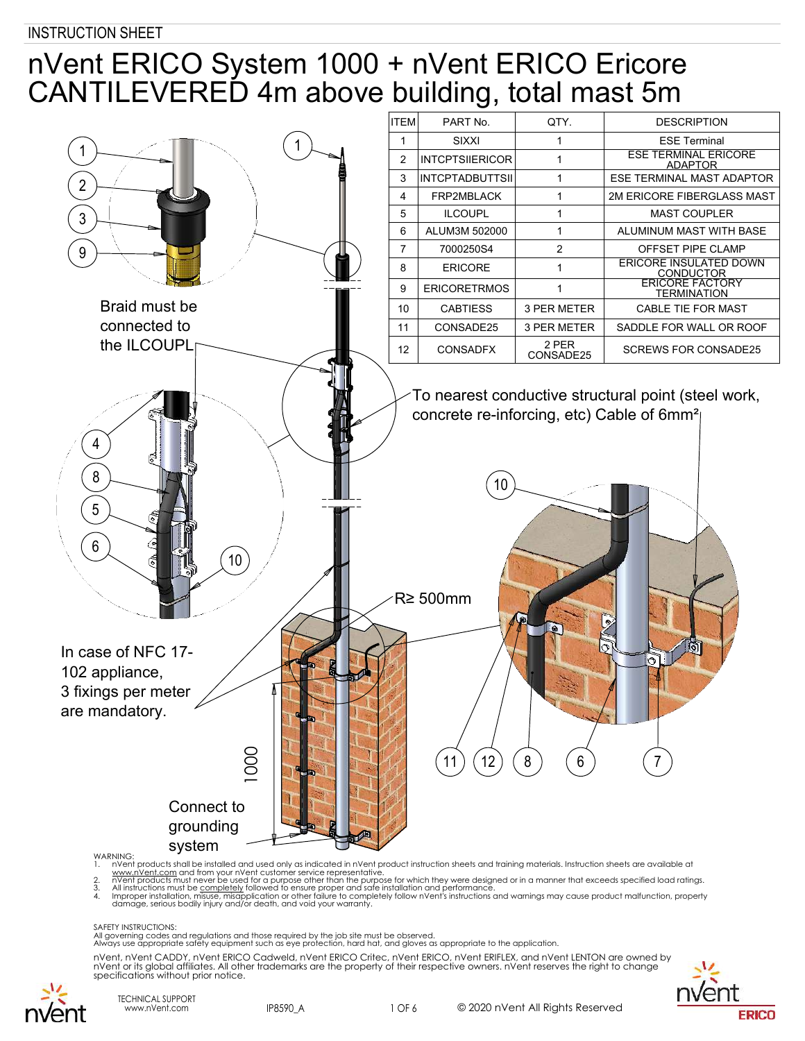# nVent ERICO System 1000 + nVent ERICO Ericore CANTILEVERED 4m above building, total mast 5m



www.nVe<u>nt.com</u> and from your nVent customer service representative.<br>2. nVent products must never be used for a purpose other than the purpose for which they were designed or in a manner that exceeds specified load rat

damage, serious bodily injury and/or death, and void your warranty.

SAFETY INSTRUCTIONS:

All governing codes and regulations and those required by the job site must be observed. Always use appropriate safety equipment such as eye protection, hard hat, and gloves as appropriate to the application.



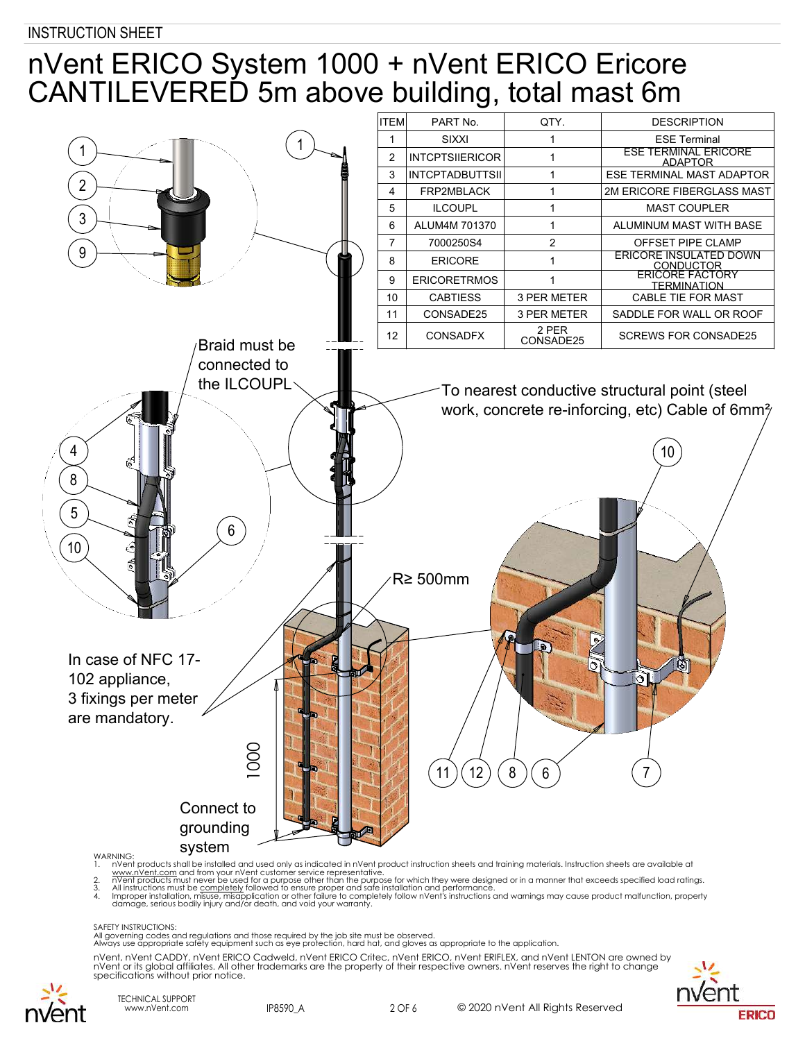# nVent ERICO System 1000 + nVent ERICO Ericore CANTILEVERED 5m above building, total mast 6m



www.nVe<u>nt.com</u> and from your nVent customer service representative.<br>2. nVent products must never be used for a purpose other than the purpose for which they were designed or in a manner that exceeds specified load rat

damage, serious bodily injury and/or death, and void your warranty.

SAFETY INSTRUCTIONS:

All governing codes and regulations and those required by the job site must be observed. Always use appropriate safety equipment such as eye protection, hard hat, and gloves as appropriate to the application.



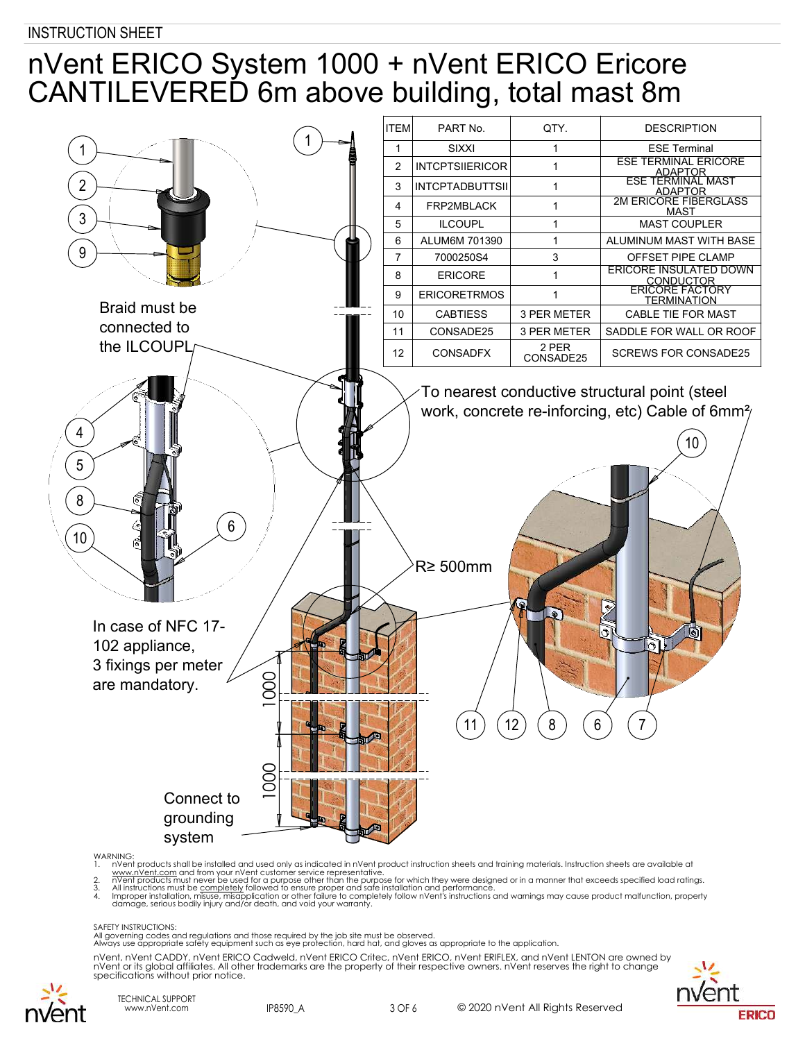# nVent ERICO System 1000 + nVent ERICO Ericore CANTILEVERED 6m above building, total mast 8m



**WARNING** 

1. nVent products shall be installed and used only as indicated in nVent product instruction sheets and training materials. Instruction sheets are available at

www.nVe<u>nt.com</u> and from your nVent customer service representative.<br>2. nVent products must never be used for a purpose other than the purpose for which they were designed or in a manner that exceeds specified load rat

damage, serious bodily injury and/or death, and void your warranty.

#### SAFETY INSTRUCTIONS:

All governing codes and regulations and those required by the job site must be observed. Always use appropriate safety equipment such as eye protection, hard hat, and gloves as appropriate to the application.



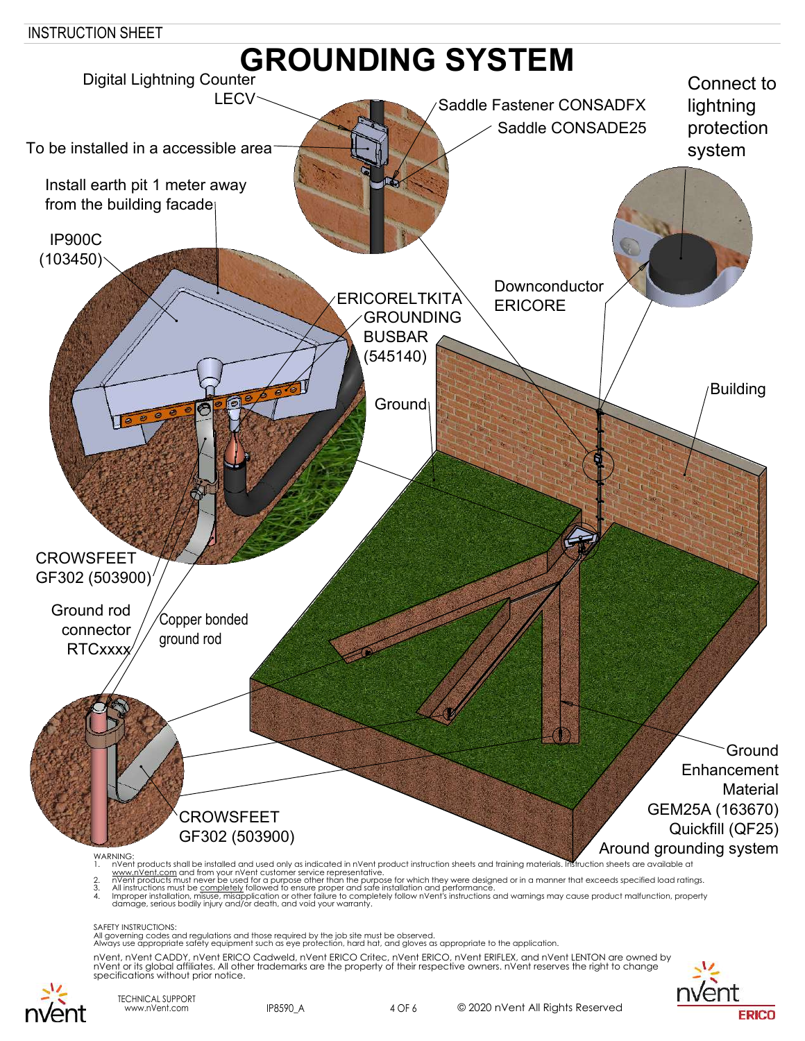

All governing codes and regulations and those required by the job site must be observed. Always use appropriate safety equipment such as eye protection, hard hat, and gloves as appropriate to the application.

nVent, nVent CADDY, nVent ERICO Cadweld, nVent ERICO Critec, nVent ERICO, nVent ERIFLEX, and nVent LENTON are owned by nVent or its global affiliates. All other trademarks are the property of their respective owners. nVent reserves the right to change specifications without prior notice.





TECHNICAL SUPPORT www.nVent.com IP8590\_A 4 OF 6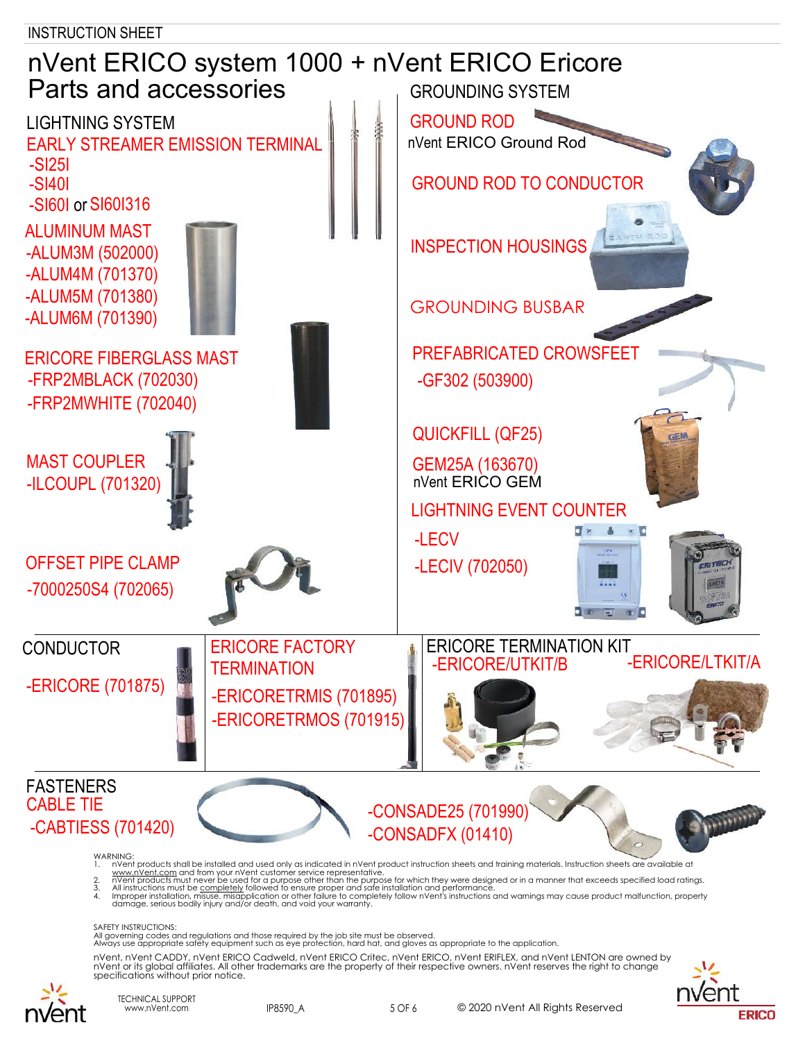